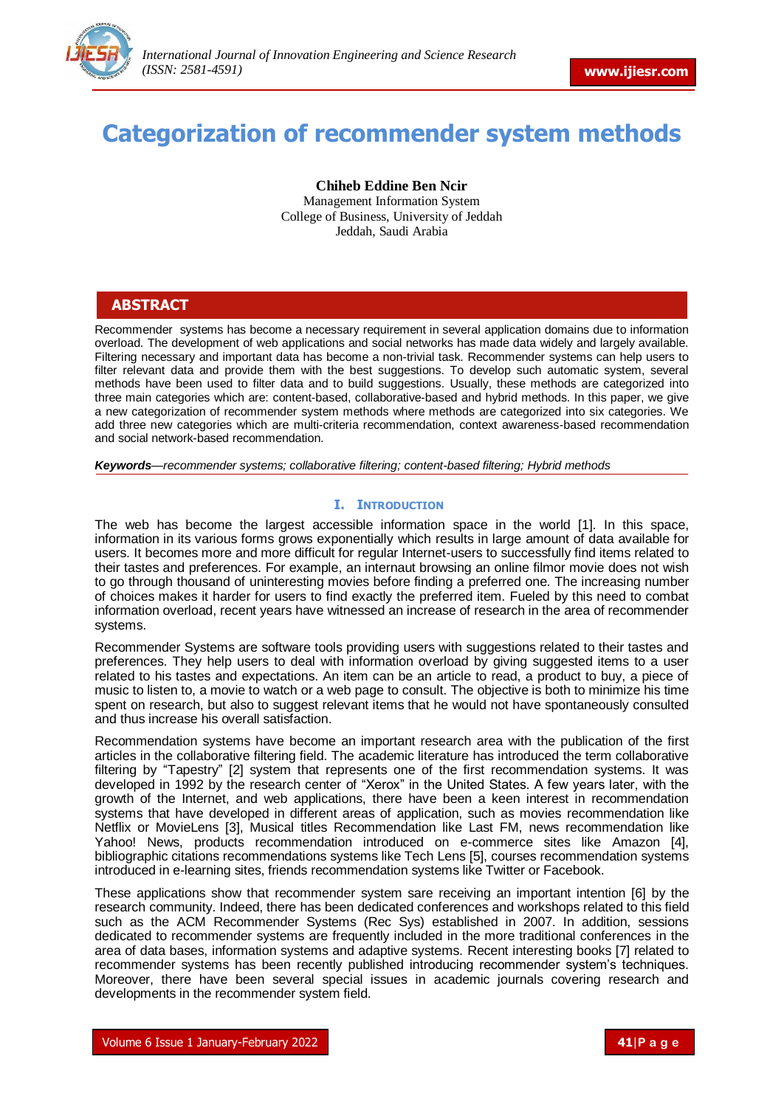

# **Categorization of recommender system methods**

**Chiheb Eddine Ben Ncir** Management Information System College of Business, University of Jeddah Jeddah, Saudi Arabia

# **ABSTRACT**

Recommender systems has become a necessary requirement in several application domains due to information overload. The development of web applications and social networks has made data widely and largely available. Filtering necessary and important data has become a non-trivial task. Recommender systems can help users to filter relevant data and provide them with the best suggestions. To develop such automatic system, several methods have been used to filter data and to build suggestions. Usually, these methods are categorized into three main categories which are: content-based, collaborative-based and hybrid methods. In this paper, we give a new categorization of recommender system methods where methods are categorized into six categories. We add three new categories which are multi-criteria recommendation, context awareness-based recommendation and social network-based recommendation.

*Keywords—recommender systems; collaborative filtering; content-based filtering; Hybrid methods*

# **I. INTRODUCTION**

The web has become the largest accessible information space in the world [1]. In this space, information in its various forms grows exponentially which results in large amount of data available for users. It becomes more and more difficult for regular Internet-users to successfully find items related to their tastes and preferences. For example, an internaut browsing an online filmor movie does not wish to go through thousand of uninteresting movies before finding a preferred one. The increasing number of choices makes it harder for users to find exactly the preferred item. Fueled by this need to combat information overload, recent years have witnessed an increase of research in the area of recommender systems.

Recommender Systems are software tools providing users with suggestions related to their tastes and preferences. They help users to deal with information overload by giving suggested items to a user related to his tastes and expectations. An item can be an article to read, a product to buy, a piece of music to listen to, a movie to watch or a web page to consult. The objective is both to minimize his time spent on research, but also to suggest relevant items that he would not have spontaneously consulted and thus increase his overall satisfaction.

Recommendation systems have become an important research area with the publication of the first articles in the collaborative filtering field. The academic literature has introduced the term collaborative filtering by "Tapestry" [2] system that represents one of the first recommendation systems. It was developed in 1992 by the research center of "Xerox" in the United States. A few years later, with the growth of the Internet, and web applications, there have been a keen interest in recommendation systems that have developed in different areas of application, such as movies recommendation like Netflix or MovieLens [3], Musical titles Recommendation like Last FM, news recommendation like Yahoo! News, products recommendation introduced on e-commerce sites like Amazon [4], bibliographic citations recommendations systems like Tech Lens [5], courses recommendation systems introduced in e-learning sites, friends recommendation systems like Twitter or Facebook.

These applications show that recommender system sare receiving an important intention [6] by the research community. Indeed, there has been dedicated conferences and workshops related to this field such as the ACM Recommender Systems (Rec Sys) established in 2007. In addition, sessions dedicated to recommender systems are frequently included in the more traditional conferences in the area of data bases, information systems and adaptive systems. Recent interesting books [7] related to recommender systems has been recently published introducing recommender system's techniques. Moreover, there have been several special issues in academic journals covering research and developments in the recommender system field.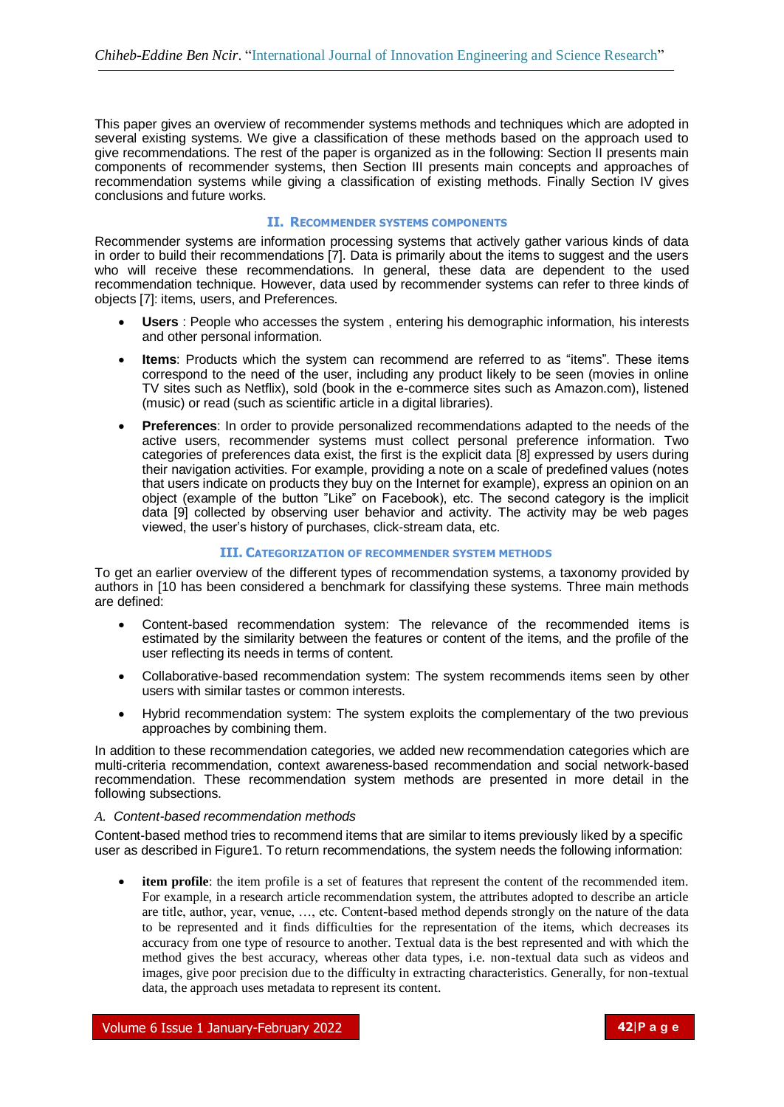This paper gives an overview of recommender systems methods and techniques which are adopted in several existing systems. We give a classification of these methods based on the approach used to give recommendations. The rest of the paper is organized as in the following: Section II presents main components of recommender systems, then Section III presents main concepts and approaches of recommendation systems while giving a classification of existing methods. Finally Section IV gives conclusions and future works.

# **II. RECOMMENDER SYSTEMS COMPONENTS**

Recommender systems are information processing systems that actively gather various kinds of data in order to build their recommendations [7]. Data is primarily about the items to suggest and the users who will receive these recommendations. In general, these data are dependent to the used recommendation technique. However, data used by recommender systems can refer to three kinds of objects [7]: items, users, and Preferences.

- **Users** : People who accesses the system , entering his demographic information, his interests and other personal information.
- **Items**: Products which the system can recommend are referred to as "items". These items correspond to the need of the user, including any product likely to be seen (movies in online TV sites such as Netflix), sold (book in the e-commerce sites such as Amazon.com), listened (music) or read (such as scientific article in a digital libraries).
- **Preferences**: In order to provide personalized recommendations adapted to the needs of the active users, recommender systems must collect personal preference information. Two categories of preferences data exist, the first is the explicit data [8] expressed by users during their navigation activities. For example, providing a note on a scale of predefined values (notes that users indicate on products they buy on the Internet for example), express an opinion on an object (example of the button "Like" on Facebook), etc. The second category is the implicit data [9] collected by observing user behavior and activity. The activity may be web pages viewed, the user's history of purchases, click-stream data, etc.

# **III. CATEGORIZATION OF RECOMMENDER SYSTEM METHODS**

To get an earlier overview of the different types of recommendation systems, a taxonomy provided by authors in [10 has been considered a benchmark for classifying these systems. Three main methods are defined:

- Content-based recommendation system: The relevance of the recommended items is estimated by the similarity between the features or content of the items, and the profile of the user reflecting its needs in terms of content.
- Collaborative-based recommendation system: The system recommends items seen by other users with similar tastes or common interests.
- Hybrid recommendation system: The system exploits the complementary of the two previous approaches by combining them.

In addition to these recommendation categories, we added new recommendation categories which are multi-criteria recommendation, context awareness-based recommendation and social network-based recommendation. These recommendation system methods are presented in more detail in the following subsections.

# *A. Content-based recommendation methods*

Content-based method tries to recommend items that are similar to items previously liked by a specific user as described in Figure1. To return recommendations, the system needs the following information:

**item profile**: the item profile is a set of features that represent the content of the recommended item. For example, in a research article recommendation system, the attributes adopted to describe an article are title, author, year, venue, …, etc. Content-based method depends strongly on the nature of the data to be represented and it finds difficulties for the representation of the items, which decreases its accuracy from one type of resource to another. Textual data is the best represented and with which the method gives the best accuracy, whereas other data types, i.e. non-textual data such as videos and images, give poor precision due to the difficulty in extracting characteristics. Generally, for non-textual data, the approach uses metadata to represent its content.

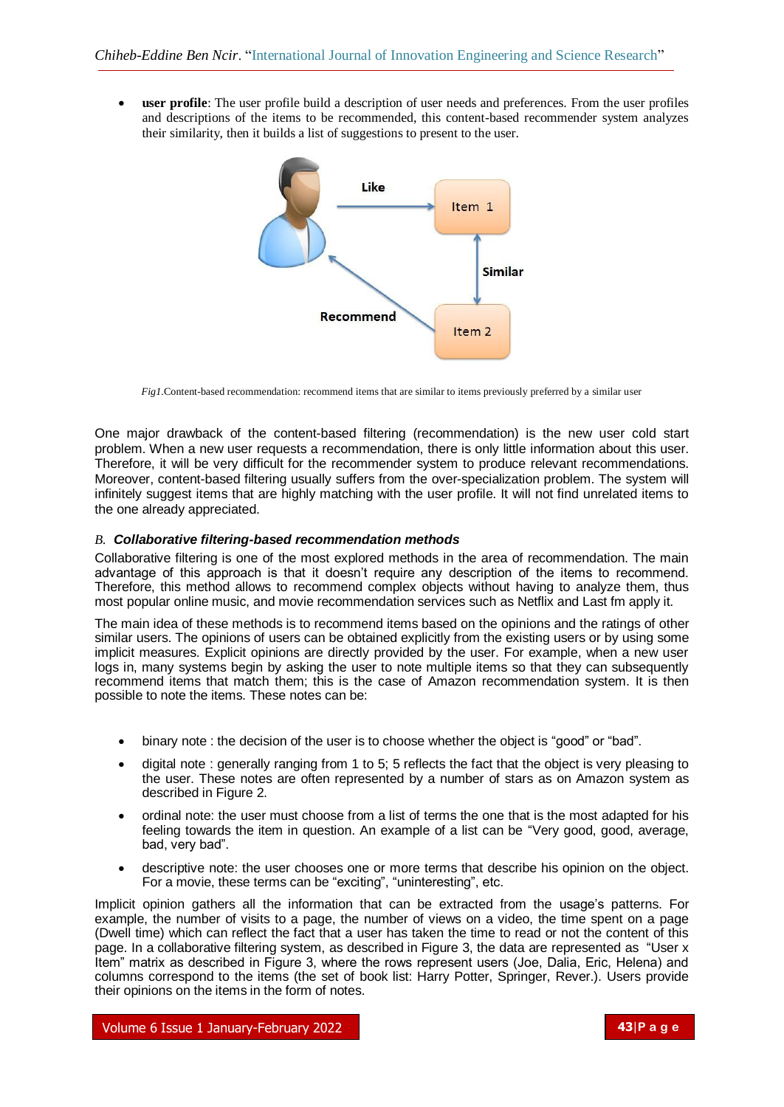**user profile**: The user profile build a description of user needs and preferences. From the user profiles and descriptions of the items to be recommended, this content-based recommender system analyzes their similarity, then it builds a list of suggestions to present to the user.



*Fig1*. Content-based recommendation: recommend items that are similar to items previously preferred by a similar user

One major drawback of the content-based filtering (recommendation) is the new user cold start problem. When a new user requests a recommendation, there is only little information about this user. Therefore, it will be very difficult for the recommender system to produce relevant recommendations. Moreover, content-based filtering usually suffers from the over-specialization problem. The system will infinitely suggest items that are highly matching with the user profile. It will not find unrelated items to the one already appreciated.

# *B. Collaborative filtering-based recommendation methods*

Collaborative filtering is one of the most explored methods in the area of recommendation. The main advantage of this approach is that it doesn't require any description of the items to recommend. Therefore, this method allows to recommend complex objects without having to analyze them, thus most popular online music, and movie recommendation services such as Netflix and Last fm apply it.

The main idea of these methods is to recommend items based on the opinions and the ratings of other similar users. The opinions of users can be obtained explicitly from the existing users or by using some implicit measures. Explicit opinions are directly provided by the user. For example, when a new user logs in, many systems begin by asking the user to note multiple items so that they can subsequently recommend items that match them; this is the case of Amazon recommendation system. It is then possible to note the items. These notes can be:

- binary note : the decision of the user is to choose whether the object is "good" or "bad".
- digital note : generally ranging from 1 to 5; 5 reflects the fact that the object is very pleasing to the user. These notes are often represented by a number of stars as on Amazon system as described in Figure 2.
- ordinal note: the user must choose from a list of terms the one that is the most adapted for his feeling towards the item in question. An example of a list can be "Very good, good, average, bad, very bad".
- descriptive note: the user chooses one or more terms that describe his opinion on the object. For a movie, these terms can be "exciting", "uninteresting", etc.

Implicit opinion gathers all the information that can be extracted from the usage's patterns. For example, the number of visits to a page, the number of views on a video, the time spent on a page (Dwell time) which can reflect the fact that a user has taken the time to read or not the content of this page. In a collaborative filtering system, as described in Figure 3, the data are represented as "User x Item" matrix as described in Figure 3, where the rows represent users (Joe, Dalia, Eric, Helena) and columns correspond to the items (the set of book list: Harry Potter, Springer, Rever.). Users provide their opinions on the items in the form of notes.

Volume 6 Issue 1 January-February 2022 **43**|**P a g e**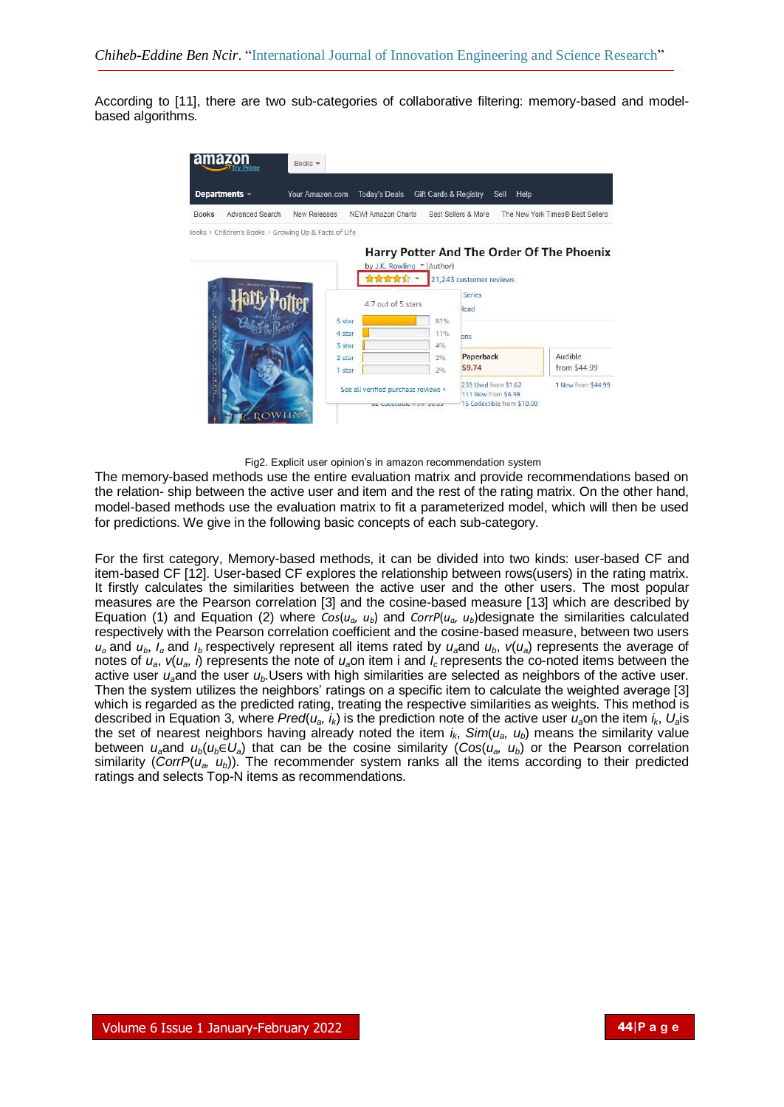According to [11], there are two sub-categories of collaborative filtering: memory-based and modelbased algorithms.



Fig2. Explicit user opinion's in amazon recommendation system

The memory-based methods use the entire evaluation matrix and provide recommendations based on the relation- ship between the active user and item and the rest of the rating matrix. On the other hand, model-based methods use the evaluation matrix to fit a parameterized model, which will then be used for predictions. We give in the following basic concepts of each sub-category.

For the first category, Memory-based methods, it can be divided into two kinds: user-based CF and item-based CF [12]. User-based CF explores the relationship between rows(users) in the rating matrix. It firstly calculates the similarities between the active user and the other users. The most popular measures are the Pearson correlation [3] and the cosine-based measure [13] which are described by Equation (1) and Equation (2) where  $Cos(u_a, u_b)$  and  $CorrP(u_a, u_b)$  designate the similarities calculated respectively with the Pearson correlation coefficient and the cosine-based measure, between two users  $u_a$  and  $u_b$ ,  $I_a$  and  $I_b$  respectively represent all items rated by  $u_a$  and  $u_b$ ,  $v(u_a)$  represents the average of notes of  $u_a$ ,  $v(u_a, i)$  represents the note of  $u_a$ on item i and  $l_c$  represents the co-noted items between the active user *ua*and the user *ub*.Users with high similarities are selected as neighbors of the active user. Then the system utilizes the neighbors' ratings on a specific item to calculate the weighted average [3] which is regarded as the predicted rating, treating the respective similarities as weights. This method is described in Equation 3, where *Pred*(*ua, ik*) is the prediction note of the active user *ua*on the item *ik*, *Ua*is the set of nearest neighbors having already noted the item  $i_k$ ,  $Sim(u_a, u_b)$  means the similarity value between  $u_a$  and  $u_b(u_b \in U_a)$  that can be the cosine similarity ( $Cos(u_a, u_b)$  or the Pearson correlation similarity ( $CorrP(u_a, u_b)$ ). The recommender system ranks all the items according to their predicted ratings and selects Top-N items as recommendations.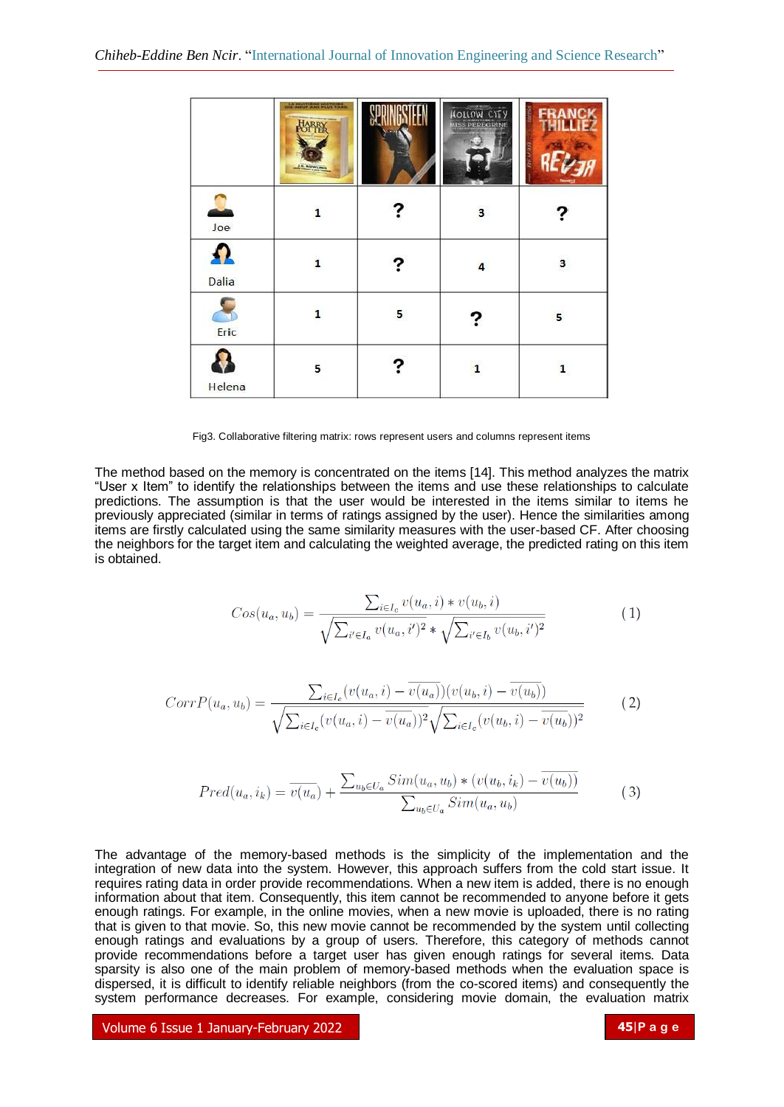|          | LA HUITIENE HISTOIRE.<br>OCC-NEUT ANS PLUS TARD.<br>Line Robert Here |   | HOLLOW CITY<br><b>MISS PEREGRINE</b> | EB |
|----------|----------------------------------------------------------------------|---|--------------------------------------|----|
| U<br>Joe | $\mathbf{1}$                                                         |   | 3                                    |    |
| Dalia    | $\mathbf{1}$                                                         |   | $\overline{\mathbf{4}}$              | 3  |
| Eric     | $\mathbf{1}$                                                         | 5 | ?                                    | 5  |
| Helena   | 5                                                                    |   | 1                                    | 1  |

Fig3. Collaborative filtering matrix: rows represent users and columns represent items

The method based on the memory is concentrated on the items [14]. This method analyzes the matrix "User x Item" to identify the relationships between the items and use these relationships to calculate predictions. The assumption is that the user would be interested in the items similar to items he previously appreciated (similar in terms of ratings assigned by the user). Hence the similarities among items are firstly calculated using the same similarity measures with the user-based CF. After choosing the neighbors for the target item and calculating the weighted average, the predicted rating on this item is obtained.

$$
Cos(u_a, u_b) = \frac{\sum_{i \in I_c} v(u_a, i) * v(u_b, i)}{\sqrt{\sum_{i' \in I_a} v(u_a, i')^2} * \sqrt{\sum_{i' \in I_b} v(u_b, i')^2}}
$$
(1)

$$
CorrP(u_a, u_b) = \frac{\sum_{i \in I_c} (v(u_a, i) - \overline{v(u_a)})(v(u_b, i) - \overline{v(u_b)})}{\sqrt{\sum_{i \in I_c} (v(u_a, i) - \overline{v(u_a)})^2} \sqrt{\sum_{i \in I_c} (v(u_b, i) - \overline{v(u_b)})^2}}
$$
(2)

$$
Pred(u_a, i_k) = \overline{v(u_a)} + \frac{\sum_{u_b \in U_a} Sim(u_a, u_b) * (v(u_b, i_k) - \overline{v(u_b)})}{\sum_{u_b \in U_a} Sim(u_a, u_b)}
$$
(3)

The advantage of the memory-based methods is the simplicity of the implementation and the integration of new data into the system. However, this approach suffers from the cold start issue. It requires rating data in order provide recommendations. When a new item is added, there is no enough information about that item. Consequently, this item cannot be recommended to anyone before it gets enough ratings. For example, in the online movies, when a new movie is uploaded, there is no rating that is given to that movie. So, this new movie cannot be recommended by the system until collecting enough ratings and evaluations by a group of users. Therefore, this category of methods cannot provide recommendations before a target user has given enough ratings for several items. Data sparsity is also one of the main problem of memory-based methods when the evaluation space is dispersed, it is difficult to identify reliable neighbors (from the co-scored items) and consequently the system performance decreases. For example, considering movie domain, the evaluation matrix

Volume 6 Issue 1 January-February 2022 **45**|**P a g e**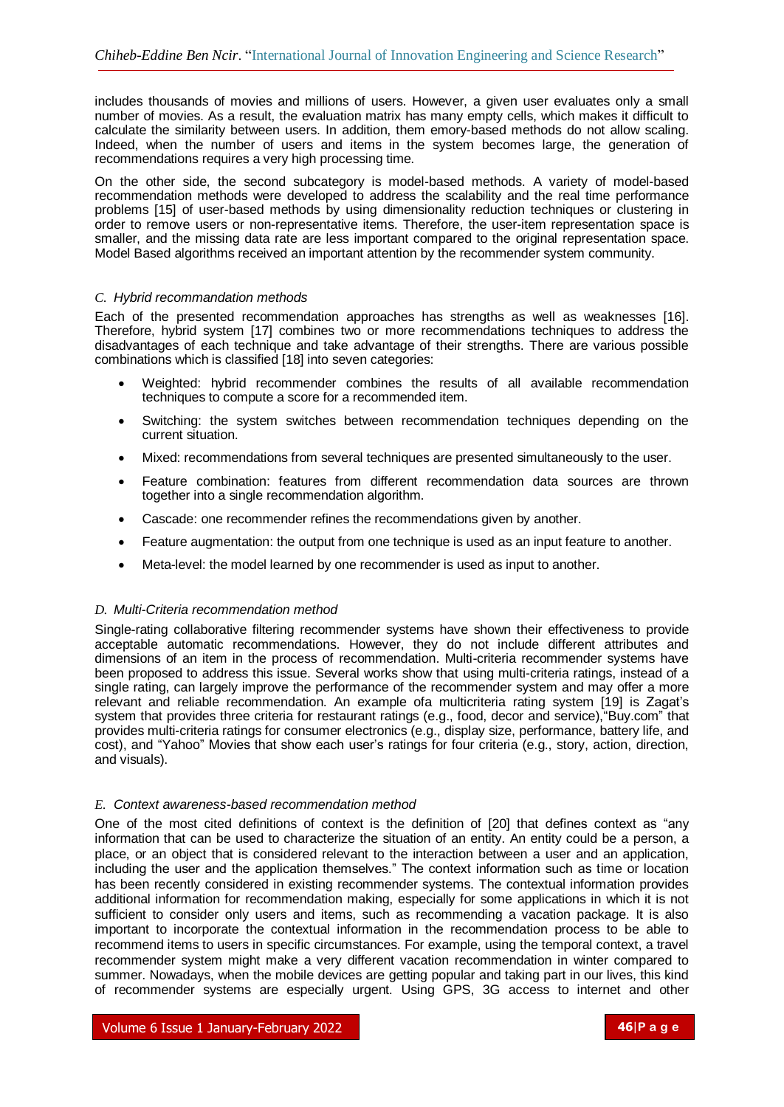includes thousands of movies and millions of users. However, a given user evaluates only a small number of movies. As a result, the evaluation matrix has many empty cells, which makes it difficult to calculate the similarity between users. In addition, them emory-based methods do not allow scaling. Indeed, when the number of users and items in the system becomes large, the generation of recommendations requires a very high processing time.

On the other side, the second subcategory is model-based methods. A variety of model-based recommendation methods were developed to address the scalability and the real time performance problems [15] of user-based methods by using dimensionality reduction techniques or clustering in order to remove users or non-representative items. Therefore, the user-item representation space is smaller, and the missing data rate are less important compared to the original representation space. Model Based algorithms received an important attention by the recommender system community.

# *C. Hybrid recommandation methods*

Each of the presented recommendation approaches has strengths as well as weaknesses [16]. Therefore, hybrid system [17] combines two or more recommendations techniques to address the disadvantages of each technique and take advantage of their strengths. There are various possible combinations which is classified [18] into seven categories:

- Weighted: hybrid recommender combines the results of all available recommendation techniques to compute a score for a recommended item.
- Switching: the system switches between recommendation techniques depending on the current situation.
- Mixed: recommendations from several techniques are presented simultaneously to the user.
- Feature combination: features from different recommendation data sources are thrown together into a single recommendation algorithm.
- Cascade: one recommender refines the recommendations given by another.
- Feature augmentation: the output from one technique is used as an input feature to another.
- Meta-level: the model learned by one recommender is used as input to another.

### *D. Multi-Criteria recommendation method*

Single-rating collaborative filtering recommender systems have shown their effectiveness to provide acceptable automatic recommendations. However, they do not include different attributes and dimensions of an item in the process of recommendation. Multi-criteria recommender systems have been proposed to address this issue. Several works show that using multi-criteria ratings, instead of a single rating, can largely improve the performance of the recommender system and may offer a more relevant and reliable recommendation. An example ofa multicriteria rating system [19] is Zagat's system that provides three criteria for restaurant ratings (e.g., food, decor and service), "Buy.com" that provides multi-criteria ratings for consumer electronics (e.g., display size, performance, battery life, and cost), and "Yahoo" Movies that show each user's ratings for four criteria (e.g., story, action, direction, and visuals).

# *E. Context awareness-based recommendation method*

One of the most cited definitions of context is the definition of [20] that defines context as "any information that can be used to characterize the situation of an entity. An entity could be a person, a place, or an object that is considered relevant to the interaction between a user and an application, including the user and the application themselves." The context information such as time or location has been recently considered in existing recommender systems. The contextual information provides additional information for recommendation making, especially for some applications in which it is not sufficient to consider only users and items, such as recommending a vacation package. It is also important to incorporate the contextual information in the recommendation process to be able to recommend items to users in specific circumstances. For example, using the temporal context, a travel recommender system might make a very different vacation recommendation in winter compared to summer. Nowadays, when the mobile devices are getting popular and taking part in our lives, this kind of recommender systems are especially urgent. Using GPS, 3G access to internet and other

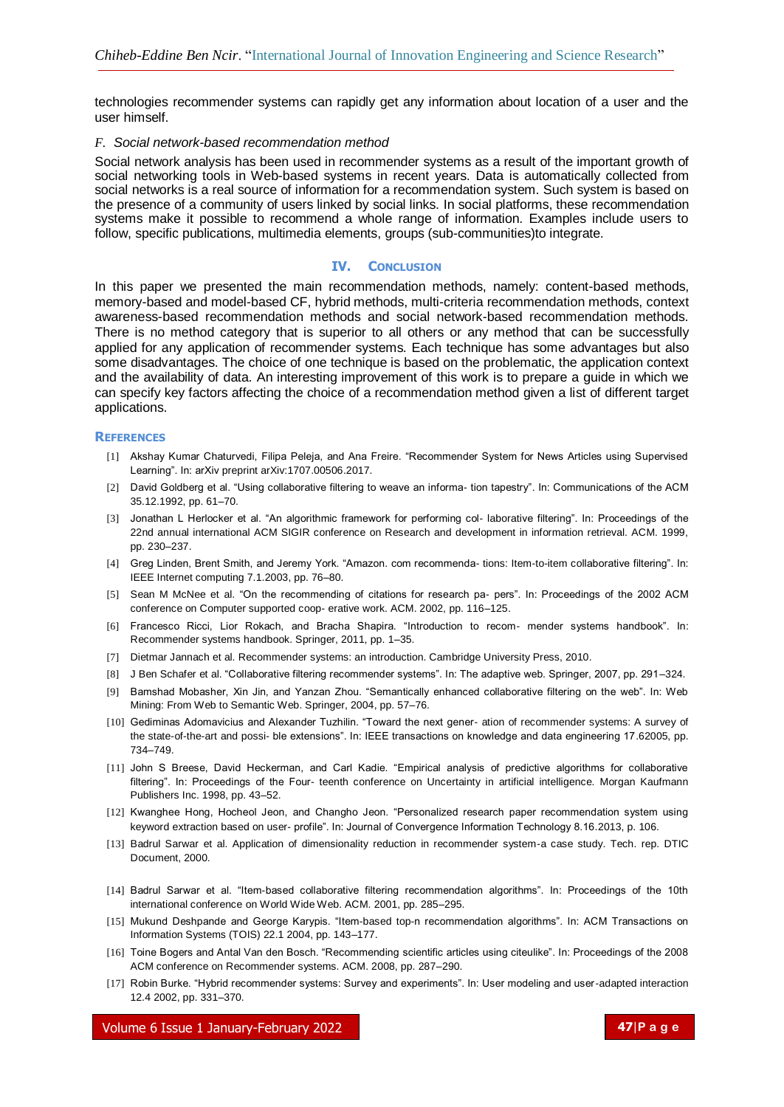technologies recommender systems can rapidly get any information about location of a user and the user himself.

### *F. Social network-based recommendation method*

Social network analysis has been used in recommender systems as a result of the important growth of social networking tools in Web-based systems in recent years. Data is automatically collected from social networks is a real source of information for a recommendation system. Such system is based on the presence of a community of users linked by social links. In social platforms, these recommendation systems make it possible to recommend a whole range of information. Examples include users to follow, specific publications, multimedia elements, groups (sub-communities)to integrate.

# **IV. CONCLUSION**

In this paper we presented the main recommendation methods, namely: content-based methods, memory-based and model-based CF, hybrid methods, multi-criteria recommendation methods, context awareness-based recommendation methods and social network-based recommendation methods. There is no method category that is superior to all others or any method that can be successfully applied for any application of recommender systems. Each technique has some advantages but also some disadvantages. The choice of one technique is based on the problematic, the application context and the availability of data. An interesting improvement of this work is to prepare a guide in which we can specify key factors affecting the choice of a recommendation method given a list of different target applications.

### **REFERENCES**

- [1] Akshay Kumar Chaturvedi, Filipa Peleja, and Ana Freire. "Recommender System for News Articles using Supervised Learning". In: arXiv preprint arXiv:1707.00506.2017.
- [2] David Goldberg et al. "Using collaborative filtering to weave an informa- tion tapestry". In: Communications of the ACM 35.12.1992, pp. 61–70.
- [3] Jonathan L Herlocker et al. "An algorithmic framework for performing col- laborative filtering". In: Proceedings of the 22nd annual international ACM SIGIR conference on Research and development in information retrieval. ACM. 1999, pp. 230–237.
- [4] Greg Linden, Brent Smith, and Jeremy York. "Amazon. com recommenda- tions: Item-to-item collaborative filtering". In: IEEE Internet computing 7.1.2003, pp. 76–80.
- [5] Sean M McNee et al. "On the recommending of citations for research pa- pers". In: Proceedings of the 2002 ACM conference on Computer supported coop- erative work. ACM. 2002, pp. 116–125.
- [6] Francesco Ricci, Lior Rokach, and Bracha Shapira. "Introduction to recom- mender systems handbook". In: Recommender systems handbook. Springer, 2011, pp. 1–35.
- [7] Dietmar Jannach et al. Recommender systems: an introduction. Cambridge University Press, 2010.
- [8] J Ben Schafer et al. "Collaborative filtering recommender systems". In: The adaptive web. Springer, 2007, pp. 291–324.
- [9] Bamshad Mobasher, Xin Jin, and Yanzan Zhou. "Semantically enhanced collaborative filtering on the web". In: Web Mining: From Web to Semantic Web. Springer, 2004, pp. 57–76.
- [10] Gediminas Adomavicius and Alexander Tuzhilin. "Toward the next gener- ation of recommender systems: A survey of the state-of-the-art and possi- ble extensions". In: IEEE transactions on knowledge and data engineering 17.62005, pp. 734–749.
- [11] John S Breese, David Heckerman, and Carl Kadie. "Empirical analysis of predictive algorithms for collaborative filtering". In: Proceedings of the Four- teenth conference on Uncertainty in artificial intelligence. Morgan Kaufmann Publishers Inc. 1998, pp. 43–52.
- [12] Kwanghee Hong, Hocheol Jeon, and Changho Jeon. "Personalized research paper recommendation system using keyword extraction based on user- profile". In: Journal of Convergence Information Technology 8.16.2013, p. 106.
- [13] Badrul Sarwar et al. Application of dimensionality reduction in recommender system-a case study. Tech. rep. DTIC Document, 2000.
- [14] Badrul Sarwar et al. "Item-based collaborative filtering recommendation algorithms". In: Proceedings of the 10th international conference on World Wide Web. ACM. 2001, pp. 285–295.
- [15] Mukund Deshpande and George Karypis. "Item-based top-n recommendation algorithms". In: ACM Transactions on Information Systems (TOIS) 22.1 2004, pp. 143–177.
- [16] Toine Bogers and Antal Van den Bosch. "Recommending scientific articles using citeulike". In: Proceedings of the 2008 ACM conference on Recommender systems. ACM. 2008, pp. 287–290.
- [17] Robin Burke. "Hybrid recommender systems: Survey and experiments". In: User modeling and user-adapted interaction 12.4 2002, pp. 331–370.

Volume 6 Issue 1 January-February 2022 **47**|**P a g e**